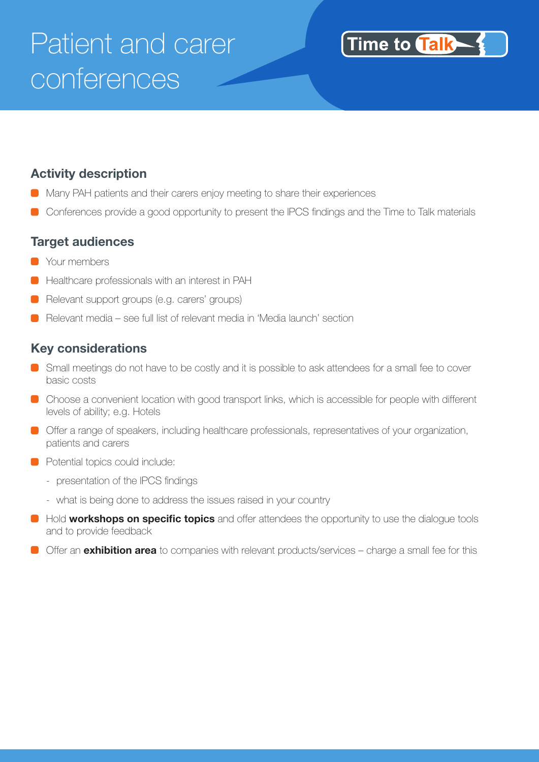# Patient and carer conferences

### Time to **Talk**

#### **Activity description**

- Many PAH patients and their carers enjoy meeting to share their experiences
- Conferences provide a good opportunity to present the IPCS findings and the Time to Talk materials

#### **Target audiences**

- **C** Your members
- Healthcare professionals with an interest in PAH
- Relevant support groups (e.g. carers' groups)
- Relevant media see full list of relevant media in 'Media launch' section

#### **Key considerations**

- Small meetings do not have to be costly and it is possible to ask attendees for a small fee to cover basic costs
- Choose a convenient location with good transport links, which is accessible for people with different levels of ability; e.g. Hotels
- Offer a range of speakers, including healthcare professionals, representatives of your organization, patients and carers
- **Potential topics could include:** 
	- presentation of the IPCS findings
	- what is being done to address the issues raised in your country
- **Hold workshops on specific topics** and offer attendees the opportunity to use the dialogue tools and to provide feedback
- Offer an **exhibition area** to companies with relevant products/services charge a small fee for this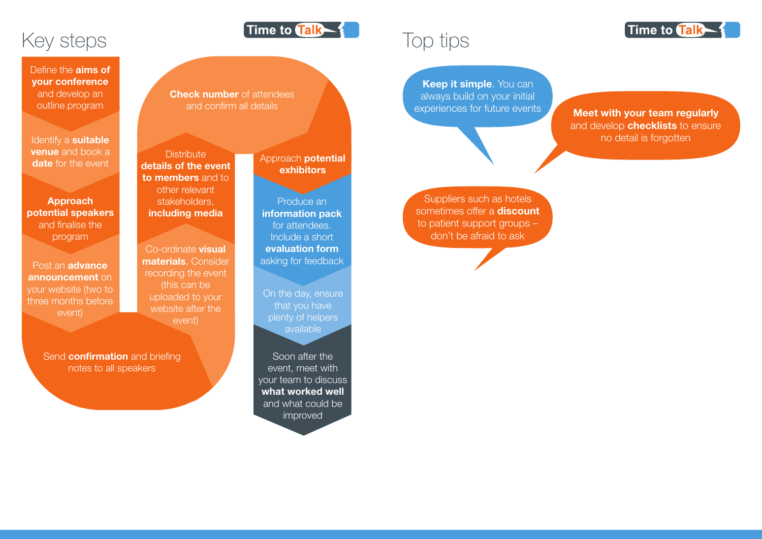## Top tips

**Keep it simple**. You can always build on your initial

experiences for future events **Meet with your team regularly** and develop **checklists** to ensure no detail is forgotten

Suppliers such as hotels sometimes offer a **discount** to patient support groups – don't be afraid to ask

On the day, ensure that you have plenty of helpers available





**Check number** of attendees and confirm all details

> Soon after the event, meet with your team to discuss what worked well and what could be improved

Post an **advance** announcement on your website (two to three months before event)

> Send **confirmation** and briefing notes to all speakers

Define the **aims of** your conference and develop an outline program

Identify a **suitable venue** and book a date for the event

Approach potential exhibitors

Time to Talk -

Produce an information pack for attendees. Include a short evaluation form asking for feedback

Co-ordinate **visual** materials. Consider recording the event (this can be uploaded to your website after the event)

**Distribute** details of the event to members and to other relevant stakeholders, including media

Approach potential speakers and finalise the program